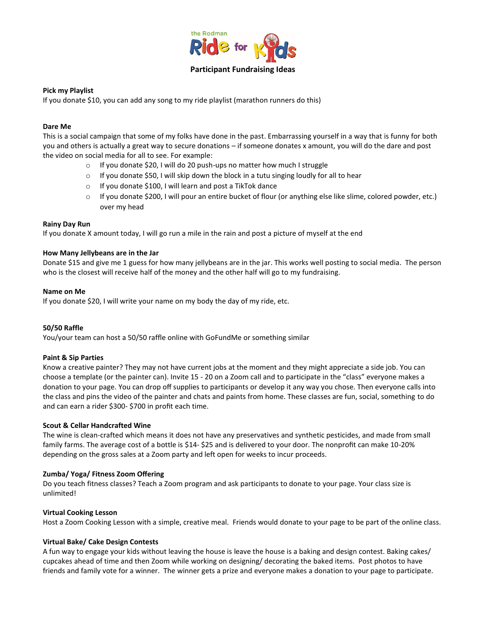

# **Pick my Playlist**

If you donate \$10, you can add any song to my ride playlist (marathon runners do this)

### **Dare Me**

This is a social campaign that some of my folks have done in the past. Embarrassing yourself in a way that is funny for both you and others is actually a great way to secure donations – if someone donates x amount, you will do the dare and post the video on social media for all to see. For example:

- o If you donate \$20, I will do 20 push-ups no matter how much I struggle
- $\circ$  If you donate \$50, I will skip down the block in a tutu singing loudly for all to hear
- o If you donate \$100, I will learn and post a TikTok dance
- o If you donate \$200, I will pour an entire bucket of flour (or anything else like slime, colored powder, etc.) over my head

#### **Rainy Day Run**

If you donate X amount today, I will go run a mile in the rain and post a picture of myself at the end

#### **How Many Jellybeans are in the Jar**

Donate \$15 and give me 1 guess for how many jellybeans are in the jar. This works well posting to social media. The person who is the closest will receive half of the money and the other half will go to my fundraising.

#### **Name on Me**

If you donate \$20, I will write your name on my body the day of my ride, etc.

#### **50/50 Raffle**

You/your team can host a 50/50 raffle online with GoFundMe or something similar

#### **Paint & Sip Parties**

Know a creative painter? They may not have current jobs at the moment and they might appreciate a side job. You can choose a template (or the painter can). Invite 15 - 20 on a Zoom call and to participate in the "class" everyone makes a donation to your page. You can drop off supplies to participants or develop it any way you chose. Then everyone calls into the class and pins the video of the painter and chats and paints from home. These classes are fun, social, something to do and can earn a rider \$300- \$700 in profit each time.

#### **Scout & Cellar Handcrafted Wine**

The wine is clean-crafted which means it does not have any preservatives and synthetic pesticides, and made from small family farms. The average cost of a bottle is \$14- \$25 and is delivered to your door. The nonprofit can make 10-20% depending on the gross sales at a Zoom party and left open for weeks to incur proceeds.

#### **Zumba/ Yoga/ Fitness Zoom Offering**

Do you teach fitness classes? Teach a Zoom program and ask participants to donate to your page. Your class size is unlimited!

#### **Virtual Cooking Lesson**

Host a Zoom Cooking Lesson with a simple, creative meal. Friends would donate to your page to be part of the online class.

#### **Virtual Bake/ Cake Design Contests**

A fun way to engage your kids without leaving the house is leave the house is a baking and design contest. Baking cakes/ cupcakes ahead of time and then Zoom while working on designing/ decorating the baked items. Post photos to have friends and family vote for a winner. The winner gets a prize and everyone makes a donation to your page to participate.